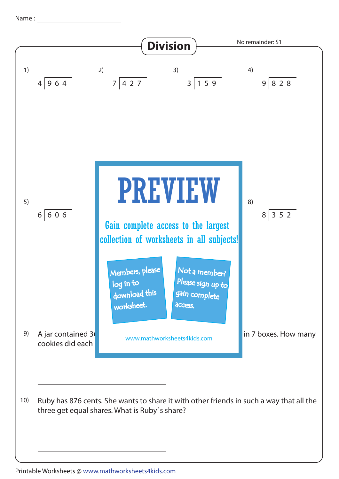